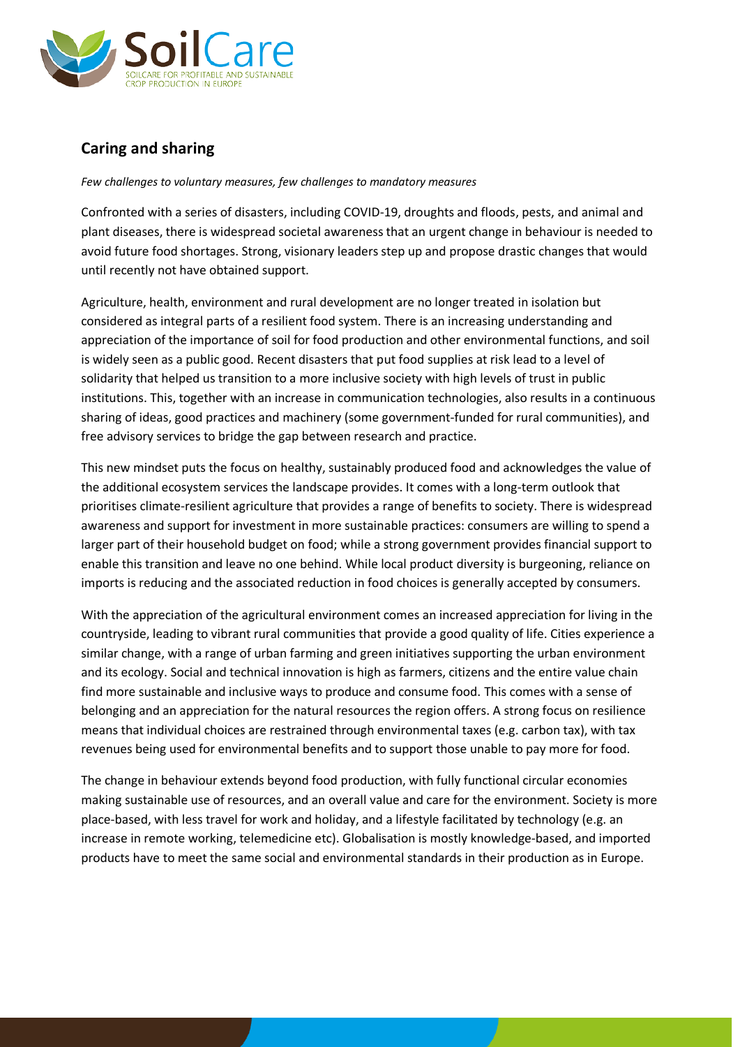

## **Caring and sharing**

*Few challenges to voluntary measures, few challenges to mandatory measures*

Confronted with a series of disasters, including COVID-19, droughts and floods, pests, and animal and plant diseases, there is widespread societal awareness that an urgent change in behaviour is needed to avoid future food shortages. Strong, visionary leaders step up and propose drastic changes that would until recently not have obtained support.

Agriculture, health, environment and rural development are no longer treated in isolation but considered as integral parts of a resilient food system. There is an increasing understanding and appreciation of the importance of soil for food production and other environmental functions, and soil is widely seen as a public good. Recent disasters that put food supplies at risk lead to a level of solidarity that helped us transition to a more inclusive society with high levels of trust in public institutions. This, together with an increase in communication technologies, also results in a continuous sharing of ideas, good practices and machinery (some government-funded for rural communities), and free advisory services to bridge the gap between research and practice.

This new mindset puts the focus on healthy, sustainably produced food and acknowledges the value of the additional ecosystem services the landscape provides. It comes with a long-term outlook that prioritises climate-resilient agriculture that provides a range of benefits to society. There is widespread awareness and support for investment in more sustainable practices: consumers are willing to spend a larger part of their household budget on food; while a strong government provides financial support to enable this transition and leave no one behind. While local product diversity is burgeoning, reliance on imports is reducing and the associated reduction in food choices is generally accepted by consumers.

With the appreciation of the agricultural environment comes an increased appreciation for living in the countryside, leading to vibrant rural communities that provide a good quality of life. Cities experience a similar change, with a range of urban farming and green initiatives supporting the urban environment and its ecology. Social and technical innovation is high as farmers, citizens and the entire value chain find more sustainable and inclusive ways to produce and consume food. This comes with a sense of belonging and an appreciation for the natural resources the region offers. A strong focus on resilience means that individual choices are restrained through environmental taxes (e.g. carbon tax), with tax revenues being used for environmental benefits and to support those unable to pay more for food.

The change in behaviour extends beyond food production, with fully functional circular economies making sustainable use of resources, and an overall value and care for the environment. Society is more place-based, with less travel for work and holiday, and a lifestyle facilitated by technology (e.g. an increase in remote working, telemedicine etc). Globalisation is mostly knowledge-based, and imported products have to meet the same social and environmental standards in their production as in Europe.